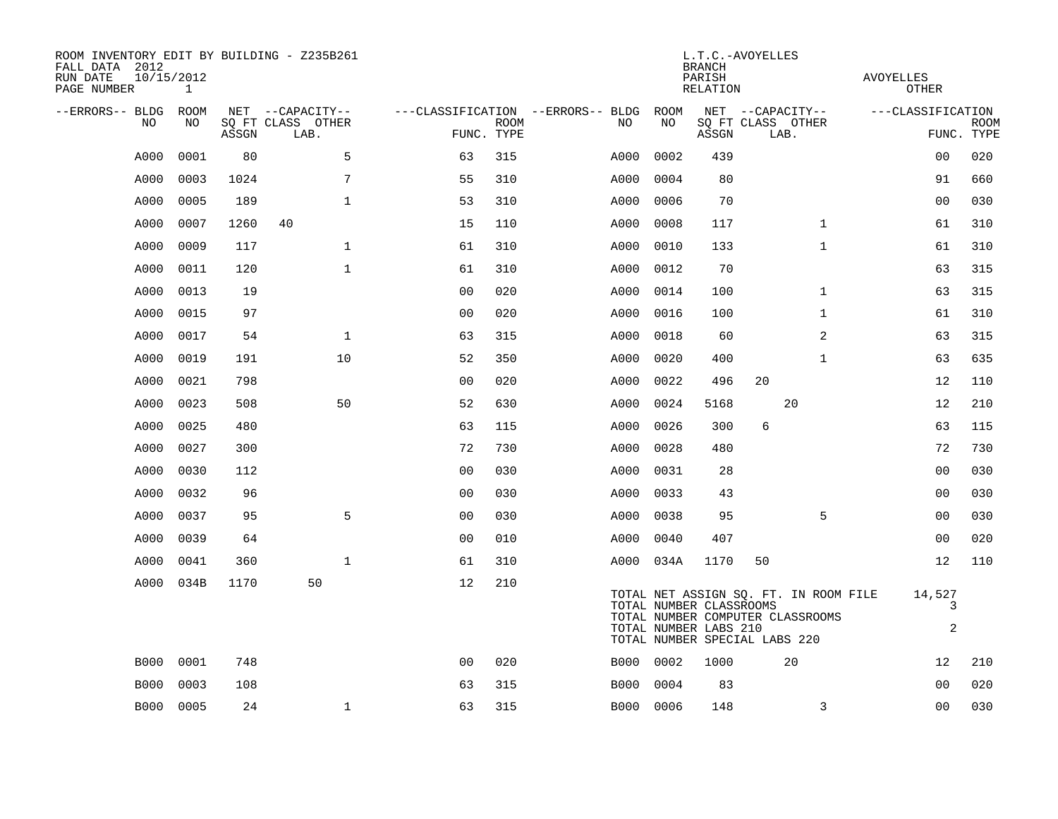| ROOM INVENTORY EDIT BY BUILDING - Z235B261<br>FALL DATA 2012<br>RUN DATE<br>PAGE NUMBER | 10/15/2012<br>$\mathbf{1}$ |       |                           |                | L.T.C.-AVOYELLES<br><b>BRANCH</b><br>PARISH<br>RELATION |                                   |           |                                                                                   |    |                                                                           |                   |                             |             |
|-----------------------------------------------------------------------------------------|----------------------------|-------|---------------------------|----------------|---------------------------------------------------------|-----------------------------------|-----------|-----------------------------------------------------------------------------------|----|---------------------------------------------------------------------------|-------------------|-----------------------------|-------------|
| --ERRORS-- BLDG ROOM                                                                    |                            |       | NET --CAPACITY--          |                |                                                         | ---CLASSIFICATION --ERRORS-- BLDG | ROOM      |                                                                                   |    | NET --CAPACITY--                                                          | ---CLASSIFICATION |                             |             |
| NO.                                                                                     | NO                         | ASSGN | SQ FT CLASS OTHER<br>LAB. | FUNC. TYPE     | <b>ROOM</b>                                             | NO.                               | NO        | ASSGN                                                                             |    | SQ FT CLASS OTHER<br>LAB.                                                 |                   | FUNC. TYPE                  | <b>ROOM</b> |
| A000                                                                                    | 0001                       | 80    | 5                         | 63             | 315                                                     | A000                              | 0002      | 439                                                                               |    |                                                                           |                   | 00                          | 020         |
| A000                                                                                    | 0003                       | 1024  | 7                         | 55             | 310                                                     | A000                              | 0004      | 80                                                                                |    |                                                                           |                   | 91                          | 660         |
| A000                                                                                    | 0005                       | 189   | $\mathbf 1$               | 53             | 310                                                     | A000                              | 0006      | 70                                                                                |    |                                                                           |                   | 0 <sub>0</sub>              | 030         |
| A000                                                                                    | 0007                       | 1260  | 40                        | 15             | 110                                                     | A000                              | 0008      | 117                                                                               |    | $\mathbf{1}$                                                              |                   | 61                          | 310         |
| A000                                                                                    | 0009                       | 117   | $\mathbf{1}$              | 61             | 310                                                     | A000                              | 0010      | 133                                                                               |    | $\mathbf{1}$                                                              |                   | 61                          | 310         |
| A000                                                                                    | 0011                       | 120   | $\mathbf{1}$              | 61             | 310                                                     | A000                              | 0012      | 70                                                                                |    |                                                                           |                   | 63                          | 315         |
| A000                                                                                    | 0013                       | 19    |                           | 0 <sub>0</sub> | 020                                                     | A000                              | 0014      | 100                                                                               |    | $\mathbf{1}$                                                              |                   | 63                          | 315         |
| A000                                                                                    | 0015                       | 97    |                           | 0 <sub>0</sub> | 020                                                     | A000                              | 0016      | 100                                                                               |    | $\mathbf{1}$                                                              |                   | 61                          | 310         |
| A000                                                                                    | 0017                       | 54    | $\mathbf{1}$              | 63             | 315                                                     | A000                              | 0018      | 60                                                                                |    | 2                                                                         |                   | 63                          | 315         |
| A000                                                                                    | 0019                       | 191   | 10                        | 52             | 350                                                     | A000                              | 0020      | 400                                                                               |    | $\mathbf{1}$                                                              |                   | 63                          | 635         |
| A000                                                                                    | 0021                       | 798   |                           | 0 <sub>0</sub> | 020                                                     | A000                              | 0022      | 496                                                                               | 20 |                                                                           |                   | 12                          | 110         |
| A000                                                                                    | 0023                       | 508   | 50                        | 52             | 630                                                     | A000                              | 0024      | 5168                                                                              |    | 20                                                                        |                   | 12                          | 210         |
| A000                                                                                    | 0025                       | 480   |                           | 63             | 115                                                     | A000                              | 0026      | 300                                                                               | 6  |                                                                           |                   | 63                          | 115         |
| A000                                                                                    | 0027                       | 300   |                           | 72             | 730                                                     | A000                              | 0028      | 480                                                                               |    |                                                                           |                   | 72                          | 730         |
| A000                                                                                    | 0030                       | 112   |                           | 0 <sub>0</sub> | 030                                                     | A000                              | 0031      | 28                                                                                |    |                                                                           |                   | 0 <sub>0</sub>              | 030         |
| A000                                                                                    | 0032                       | 96    |                           | 00             | 030                                                     | A000                              | 0033      | 43                                                                                |    |                                                                           |                   | 0 <sub>0</sub>              | 030         |
| A000                                                                                    | 0037                       | 95    | 5                         | 0 <sub>0</sub> | 030                                                     | A000                              | 0038      | 95                                                                                |    | 5                                                                         |                   | 0 <sub>0</sub>              | 030         |
| A000                                                                                    | 0039                       | 64    |                           | 0 <sub>0</sub> | 010                                                     | A000                              | 0040      | 407                                                                               |    |                                                                           |                   | 00                          | 020         |
| A000                                                                                    | 0041                       | 360   | $\mathbf{1}$              | 61             | 310                                                     |                                   | A000 034A | 1170                                                                              | 50 |                                                                           |                   | 12                          | 110         |
| A000                                                                                    | 034B                       | 1170  | 50                        | 12             | 210                                                     |                                   |           | TOTAL NUMBER CLASSROOMS<br>TOTAL NUMBER LABS 210<br>TOTAL NUMBER SPECIAL LABS 220 |    | TOTAL NET ASSIGN SQ. FT. IN ROOM FILE<br>TOTAL NUMBER COMPUTER CLASSROOMS |                   | 14,527<br>3<br>$\mathbf{2}$ |             |
| <b>B000</b>                                                                             | 0001                       | 748   |                           | 0 <sub>0</sub> | 020                                                     | B000                              | 0002      | 1000                                                                              |    | 20                                                                        |                   | 12                          | 210         |
| <b>B000</b>                                                                             | 0003                       | 108   |                           | 63             | 315                                                     | B000                              | 0004      | 83                                                                                |    |                                                                           |                   | 0 <sub>0</sub>              | 020         |
|                                                                                         | B000 0005                  | 24    | $\mathbf{1}$              | 63             | 315                                                     |                                   | B000 0006 | 148                                                                               |    | 3                                                                         |                   | 0 <sub>0</sub>              | 030         |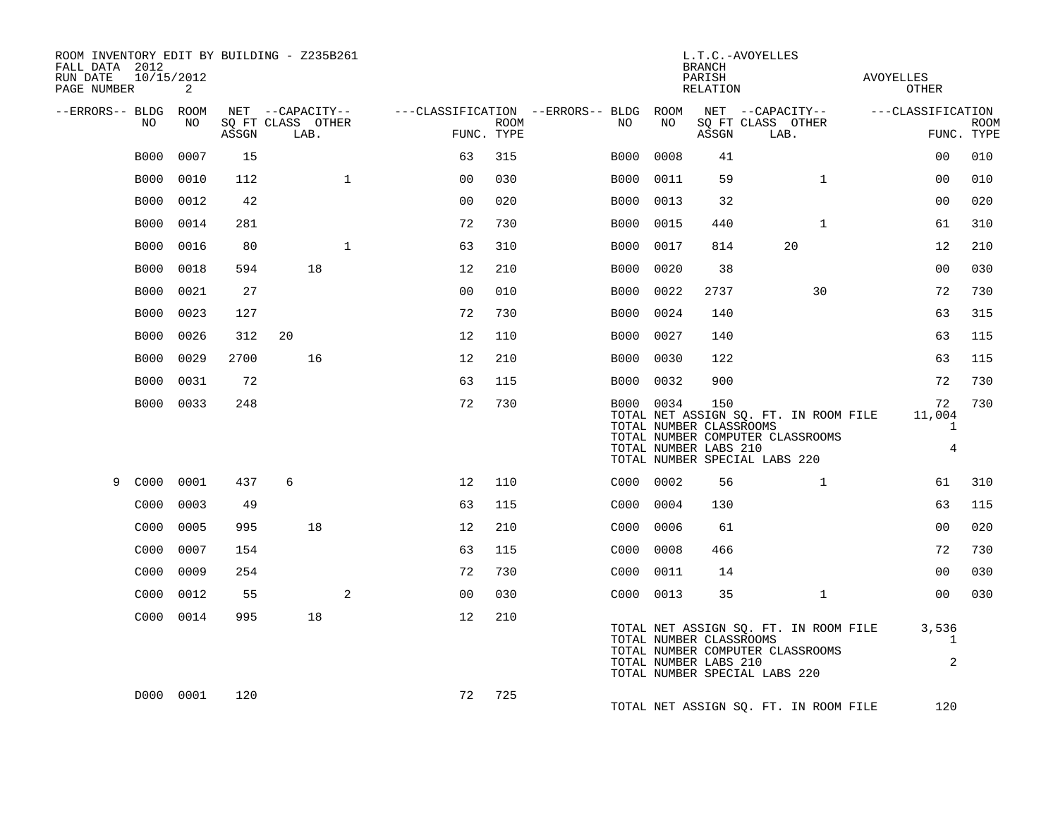| ROOM INVENTORY EDIT BY BUILDING - Z235B261<br>FALL DATA 2012<br>10/15/2012<br>RUN DATE<br>PAGE NUMBER | 2         |       |                                               |              |                |             |                                                                 |                                                               | <b>BRANCH</b><br>PARISH<br>RELATION | L.T.C.-AVOYELLES                                                                                           | AVOYELLES<br><b>OTHER</b>         |                           |
|-------------------------------------------------------------------------------------------------------|-----------|-------|-----------------------------------------------|--------------|----------------|-------------|-----------------------------------------------------------------|---------------------------------------------------------------|-------------------------------------|------------------------------------------------------------------------------------------------------------|-----------------------------------|---------------------------|
| --ERRORS-- BLDG ROOM<br>NO                                                                            | NO        | ASSGN | NET --CAPACITY--<br>SQ FT CLASS OTHER<br>LAB. |              | FUNC. TYPE     | <b>ROOM</b> | ---CLASSIFICATION --ERRORS-- BLDG ROOM NET --CAPACITY--<br>NO . | NO                                                            | ASSGN                               | SQ FT CLASS OTHER<br>LAB.                                                                                  | ---CLASSIFICATION                 | <b>ROOM</b><br>FUNC. TYPE |
| <b>B000</b>                                                                                           | 0007      | 15    |                                               |              | 63             | 315         | B000                                                            | 0008                                                          | 41                                  |                                                                                                            | 0 <sub>0</sub>                    | 010                       |
| <b>B000</b>                                                                                           | 0010      | 112   |                                               | $\mathbf{1}$ | 0 <sub>0</sub> | 030         | B000                                                            | 0011                                                          | 59                                  | $\mathbf{1}$                                                                                               | 0 <sub>0</sub>                    | 010                       |
| <b>B000</b>                                                                                           | 0012      | 42    |                                               |              | 0 <sub>0</sub> | 020         | B000                                                            | 0013                                                          | 32                                  |                                                                                                            | 00                                | 020                       |
| B000                                                                                                  | 0014      | 281   |                                               |              | 72             | 730         | B000                                                            | 0015                                                          | 440                                 | $\mathbf{1}$                                                                                               | 61                                | 310                       |
| <b>B000</b>                                                                                           | 0016      | 80    |                                               | $\mathbf{1}$ | 63             | 310         | B000                                                            | 0017                                                          | 814                                 | 20                                                                                                         | 12                                | 210                       |
| <b>B000</b>                                                                                           | 0018      | 594   | 18                                            |              | 12             | 210         | B000                                                            | 0020                                                          | 38                                  |                                                                                                            | 0 <sub>0</sub>                    | 030                       |
| <b>B000</b>                                                                                           | 0021      | 27    |                                               |              | 0 <sub>0</sub> | 010         | B000                                                            | 0022                                                          | 2737                                | 30                                                                                                         | 72                                | 730                       |
| <b>B000</b>                                                                                           | 0023      | 127   |                                               |              | 72             | 730         | B000                                                            | 0024                                                          | 140                                 |                                                                                                            | 63                                | 315                       |
| <b>B000</b>                                                                                           | 0026      | 312   | 20                                            |              | 12             | 110         |                                                                 | B000 0027                                                     | 140                                 |                                                                                                            | 63                                | 115                       |
| <b>B000</b>                                                                                           | 0029      | 2700  | 16                                            |              | 12             | 210         |                                                                 | B000 0030                                                     | 122                                 |                                                                                                            | 63                                | 115                       |
| <b>B000</b>                                                                                           | 0031      | 72    |                                               |              | 63             | 115         |                                                                 | B000 0032                                                     | 900                                 |                                                                                                            | 72                                | 730                       |
|                                                                                                       | B000 0033 | 248   |                                               |              | 72             | 730         |                                                                 | B000 0034<br>TOTAL NUMBER CLASSROOMS<br>TOTAL NUMBER LABS 210 | 150                                 | TOTAL NET ASSIGN SQ. FT. IN ROOM FILE<br>TOTAL NUMBER COMPUTER CLASSROOMS<br>TOTAL NUMBER SPECIAL LABS 220 | 72<br>11,004<br>$\mathbf{1}$<br>4 | 730                       |
| C000<br>9                                                                                             | 0001      | 437   | 6                                             |              | 12             | 110         |                                                                 | C000 0002                                                     | 56                                  | $\mathbf{1}$                                                                                               | 61                                | 310                       |
| C000                                                                                                  | 0003      | 49    |                                               |              | 63             | 115         |                                                                 | C000 0004                                                     | 130                                 |                                                                                                            | 63                                | 115                       |
| C000                                                                                                  | 0005      | 995   | 18                                            |              | 12             | 210         |                                                                 | C000 0006                                                     | 61                                  |                                                                                                            | 0 <sub>0</sub>                    | 020                       |
| C000                                                                                                  | 0007      | 154   |                                               |              | 63             | 115         |                                                                 | C000 0008                                                     | 466                                 |                                                                                                            | 72                                | 730                       |
| C000                                                                                                  | 0009      | 254   |                                               |              | 72             | 730         |                                                                 | C000 0011                                                     | 14                                  |                                                                                                            | 0 <sub>0</sub>                    | 030                       |
| C000                                                                                                  | 0012      | 55    |                                               | 2            | 0 <sub>0</sub> | 030         |                                                                 | C000 0013                                                     | 35                                  | $\mathbf{1}$                                                                                               | 00                                | 030                       |
|                                                                                                       | C000 0014 | 995   | 18                                            |              | 12             | 210         |                                                                 | TOTAL NUMBER CLASSROOMS<br>TOTAL NUMBER LABS 210              |                                     | TOTAL NET ASSIGN SQ. FT. IN ROOM FILE<br>TOTAL NUMBER COMPUTER CLASSROOMS<br>TOTAL NUMBER SPECIAL LABS 220 | 3,536<br>1<br>2                   |                           |
|                                                                                                       | D000 0001 | 120   |                                               |              | 72             | 725         |                                                                 |                                                               |                                     | TOTAL NET ASSIGN SO. FT. IN ROOM FILE                                                                      | 120                               |                           |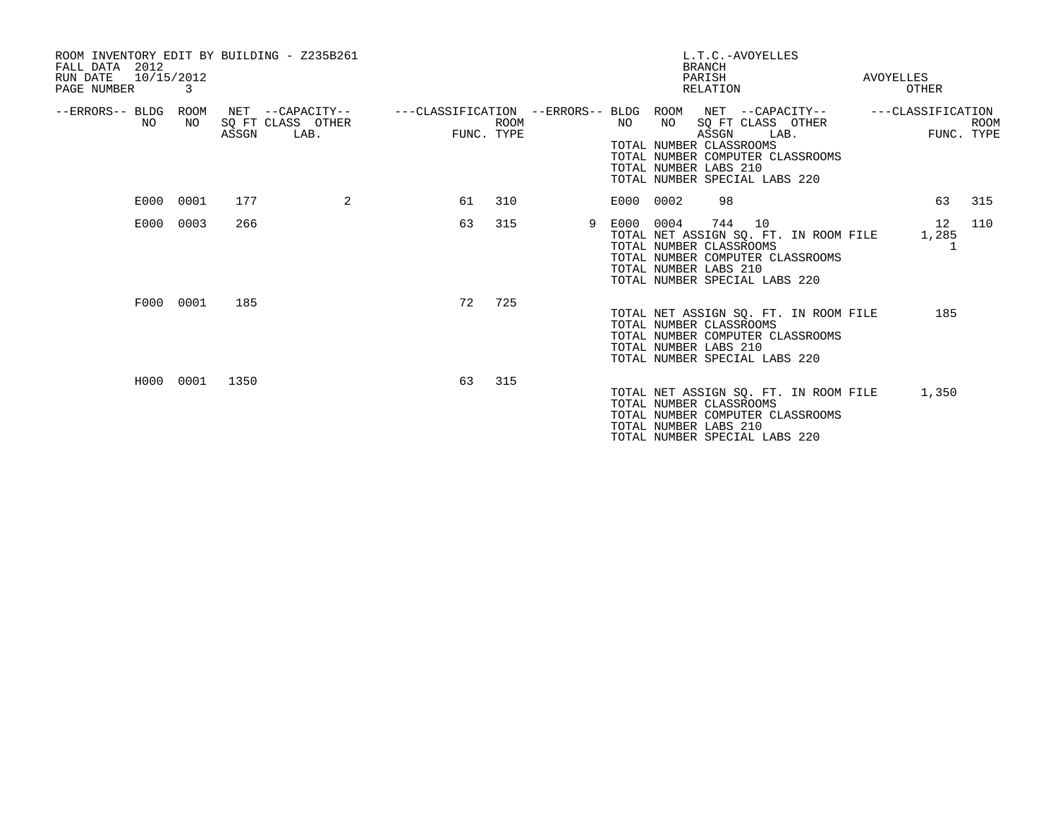| ROOM INVENTORY EDIT BY BUILDING - Z235B261<br>2012<br>FALL DATA<br>10/15/2012<br>RUN DATE<br>PAGE NUMBER | 3         |       |                                               |                                        |                           |    |           |                                                                                           | L.T.C.-AVOYELLES<br><b>BRANCH</b><br>PARISH<br>RELATION |      |                                                                           | AVOYELLES<br>OTHER |                           |
|----------------------------------------------------------------------------------------------------------|-----------|-------|-----------------------------------------------|----------------------------------------|---------------------------|----|-----------|-------------------------------------------------------------------------------------------|---------------------------------------------------------|------|---------------------------------------------------------------------------|--------------------|---------------------------|
| --ERRORS-- BLDG ROOM<br>NO.                                                                              | NO.       | ASSGN | NET --CAPACITY--<br>SO FT CLASS OTHER<br>LAB. | ---CLASSIFICATION --ERRORS-- BLDG ROOM | <b>ROOM</b><br>FUNC. TYPE |    | NO        | NO<br>TOTAL NUMBER CLASSROOMS<br>TOTAL NUMBER LABS 210<br>TOTAL NUMBER SPECIAL LABS 220   | SQ FT CLASS OTHER<br>ASSGN                              | LAB. | NET --CAPACITY--<br>TOTAL NUMBER COMPUTER CLASSROOMS                      | ---CLASSIFICATION  | <b>ROOM</b><br>FUNC. TYPE |
| E000                                                                                                     | 0001      | 177   | 2                                             | 61                                     | 310                       |    | E000 0002 |                                                                                           | 98                                                      |      |                                                                           | 63                 | 315                       |
| E000                                                                                                     | 0003      | 266   |                                               | 63                                     | 315                       | -9 | E000      | 0004<br>TOTAL NUMBER CLASSROOMS<br>TOTAL NUMBER LABS 210<br>TOTAL NUMBER SPECIAL LABS 220 | 744                                                     | 10   | TOTAL NET ASSIGN SQ. FT. IN ROOM FILE<br>TOTAL NUMBER COMPUTER CLASSROOMS | 12<br>1,285        | 110                       |
|                                                                                                          | F000 0001 | 185   |                                               | 72                                     | 725                       |    |           | TOTAL NUMBER CLASSROOMS<br>TOTAL NUMBER LABS 210<br>TOTAL NUMBER SPECIAL LABS 220         |                                                         |      | TOTAL NET ASSIGN SQ. FT. IN ROOM FILE<br>TOTAL NUMBER COMPUTER CLASSROOMS | 185                |                           |
| H000                                                                                                     | 0001      | 1350  |                                               | 63                                     | 315                       |    |           | TOTAL NUMBER CLASSROOMS<br>TOTAL NUMBER LABS 210<br>TOTAL NUMBER SPECIAL LABS 220         |                                                         |      | TOTAL NET ASSIGN SQ. FT. IN ROOM FILE<br>TOTAL NUMBER COMPUTER CLASSROOMS | 1,350              |                           |